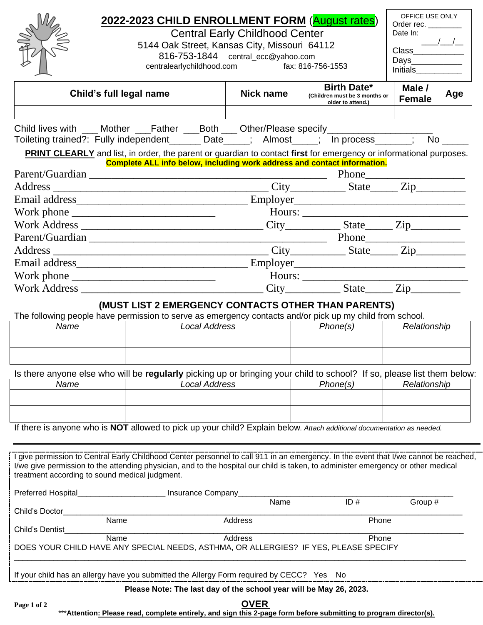|                                | 2022-2023 CHILD ENROLLMENT FORM (August rates)<br><b>Central Early Childhood Center</b>                                                                                                                                                                                                                                     |                                              |                                                                          |       |                  |                                                                                                                 |  |
|--------------------------------|-----------------------------------------------------------------------------------------------------------------------------------------------------------------------------------------------------------------------------------------------------------------------------------------------------------------------------|----------------------------------------------|--------------------------------------------------------------------------|-------|------------------|-----------------------------------------------------------------------------------------------------------------|--|
|                                |                                                                                                                                                                                                                                                                                                                             |                                              |                                                                          |       |                  |                                                                                                                 |  |
|                                |                                                                                                                                                                                                                                                                                                                             | 5144 Oak Street, Kansas City, Missouri 64112 |                                                                          |       |                  |                                                                                                                 |  |
|                                | 816-753-1844 central_ecc@yahoo.com                                                                                                                                                                                                                                                                                          |                                              |                                                                          |       |                  |                                                                                                                 |  |
|                                | centralearlychildhood.com                                                                                                                                                                                                                                                                                                   |                                              | fax: 816-756-1553                                                        |       | Initials         |                                                                                                                 |  |
|                                | Child's full legal name                                                                                                                                                                                                                                                                                                     | <b>Nick name</b>                             | <b>Birth Date*</b><br>(Children must be 3 months or<br>older to attend.) |       | Male /<br>Female | Age                                                                                                             |  |
|                                |                                                                                                                                                                                                                                                                                                                             |                                              |                                                                          |       |                  |                                                                                                                 |  |
|                                | Child lives with ___ Mother ___Father ___Both ___ Other/Please specify___________                                                                                                                                                                                                                                           |                                              |                                                                          |       |                  |                                                                                                                 |  |
|                                | Toileting trained?: Fully independent______ Date____; Almost____; In process______;                                                                                                                                                                                                                                         |                                              |                                                                          |       |                  | No the set of the set of the set of the set of the set of the set of the set of the set of the set of the set o |  |
|                                | <b>PRINT CLEARLY</b> and list, in order, the parent or guardian to contact first for emergency or informational purposes.                                                                                                                                                                                                   |                                              |                                                                          |       |                  |                                                                                                                 |  |
|                                | Complete ALL info below, including work address and contact information.                                                                                                                                                                                                                                                    |                                              |                                                                          |       |                  |                                                                                                                 |  |
|                                |                                                                                                                                                                                                                                                                                                                             |                                              |                                                                          |       |                  |                                                                                                                 |  |
|                                |                                                                                                                                                                                                                                                                                                                             |                                              |                                                                          |       |                  |                                                                                                                 |  |
|                                |                                                                                                                                                                                                                                                                                                                             |                                              |                                                                          |       |                  |                                                                                                                 |  |
|                                |                                                                                                                                                                                                                                                                                                                             |                                              |                                                                          |       |                  |                                                                                                                 |  |
|                                |                                                                                                                                                                                                                                                                                                                             |                                              |                                                                          |       |                  |                                                                                                                 |  |
|                                |                                                                                                                                                                                                                                                                                                                             |                                              |                                                                          |       |                  |                                                                                                                 |  |
|                                |                                                                                                                                                                                                                                                                                                                             |                                              |                                                                          |       |                  |                                                                                                                 |  |
|                                |                                                                                                                                                                                                                                                                                                                             |                                              |                                                                          |       |                  |                                                                                                                 |  |
|                                |                                                                                                                                                                                                                                                                                                                             |                                              |                                                                          |       |                  |                                                                                                                 |  |
|                                | (MUST LIST 2 EMERGENCY CONTACTS OTHER THAN PARENTS)                                                                                                                                                                                                                                                                         |                                              |                                                                          |       |                  |                                                                                                                 |  |
|                                | The following people have permission to serve as emergency contacts and/or pick up my child from school.                                                                                                                                                                                                                    |                                              |                                                                          |       |                  |                                                                                                                 |  |
| Name                           | <b>Local Address</b>                                                                                                                                                                                                                                                                                                        |                                              | Phone(s)                                                                 |       | Relationship     |                                                                                                                 |  |
|                                |                                                                                                                                                                                                                                                                                                                             |                                              |                                                                          |       |                  |                                                                                                                 |  |
|                                |                                                                                                                                                                                                                                                                                                                             |                                              |                                                                          |       |                  |                                                                                                                 |  |
|                                | Is there anyone else who will be regularly picking up or bringing your child to school? If so, please list them below:                                                                                                                                                                                                      |                                              |                                                                          |       |                  |                                                                                                                 |  |
| Name                           | <b>Local Address</b>                                                                                                                                                                                                                                                                                                        |                                              | Phone(s)                                                                 |       | Relationship     |                                                                                                                 |  |
|                                |                                                                                                                                                                                                                                                                                                                             |                                              |                                                                          |       |                  |                                                                                                                 |  |
|                                |                                                                                                                                                                                                                                                                                                                             |                                              |                                                                          |       |                  |                                                                                                                 |  |
|                                | If there is anyone who is NOT allowed to pick up your child? Explain below. Attach additional documentation as needed.                                                                                                                                                                                                      |                                              |                                                                          |       |                  |                                                                                                                 |  |
|                                |                                                                                                                                                                                                                                                                                                                             |                                              |                                                                          |       |                  |                                                                                                                 |  |
|                                |                                                                                                                                                                                                                                                                                                                             |                                              |                                                                          |       |                  |                                                                                                                 |  |
|                                | I give permission to Central Early Childhood Center personnel to call 911 in an emergency. In the event that I/we cannot be reached,<br>I/we give permission to the attending physician, and to the hospital our child is taken, to administer emergency or other medical<br>treatment according to sound medical judgment. |                                              |                                                                          |       |                  |                                                                                                                 |  |
|                                |                                                                                                                                                                                                                                                                                                                             |                                              |                                                                          |       |                  |                                                                                                                 |  |
| Preferred Hospital             | Insurance Company                                                                                                                                                                                                                                                                                                           | Name                                         | ID#                                                                      |       | Group #          |                                                                                                                 |  |
| Child's Doctor                 |                                                                                                                                                                                                                                                                                                                             |                                              |                                                                          |       |                  |                                                                                                                 |  |
| Name<br><b>Child's Dentist</b> |                                                                                                                                                                                                                                                                                                                             | Address                                      | Phone                                                                    |       |                  |                                                                                                                 |  |
|                                | Name<br>DOES YOUR CHILD HAVE ANY SPECIAL NEEDS, ASTHMA, OR ALLERGIES? IF YES, PLEASE SPECIFY                                                                                                                                                                                                                                | Address                                      |                                                                          | Phone |                  |                                                                                                                 |  |
|                                | If your child has an allergy have you submitted the Allergy Form required by CECC? Yes No                                                                                                                                                                                                                                   |                                              |                                                                          |       |                  |                                                                                                                 |  |
|                                | Please Note: The last day of the school year will be May 26, 2023.                                                                                                                                                                                                                                                          |                                              |                                                                          |       |                  |                                                                                                                 |  |
|                                |                                                                                                                                                                                                                                                                                                                             | OVER                                         |                                                                          |       |                  |                                                                                                                 |  |
| Page 1 of 2                    | ****Attontion: Places road, complete ontiroly, and sign this 2-page form before submitting to program director(s)                                                                                                                                                                                                           |                                              |                                                                          |       |                  |                                                                                                                 |  |

Ē

 $\overline{\phantom{0}}$ 

\*\*\***Attention: Please read, complete entirely, and sign this 2-page form before submitting to program director(s).**